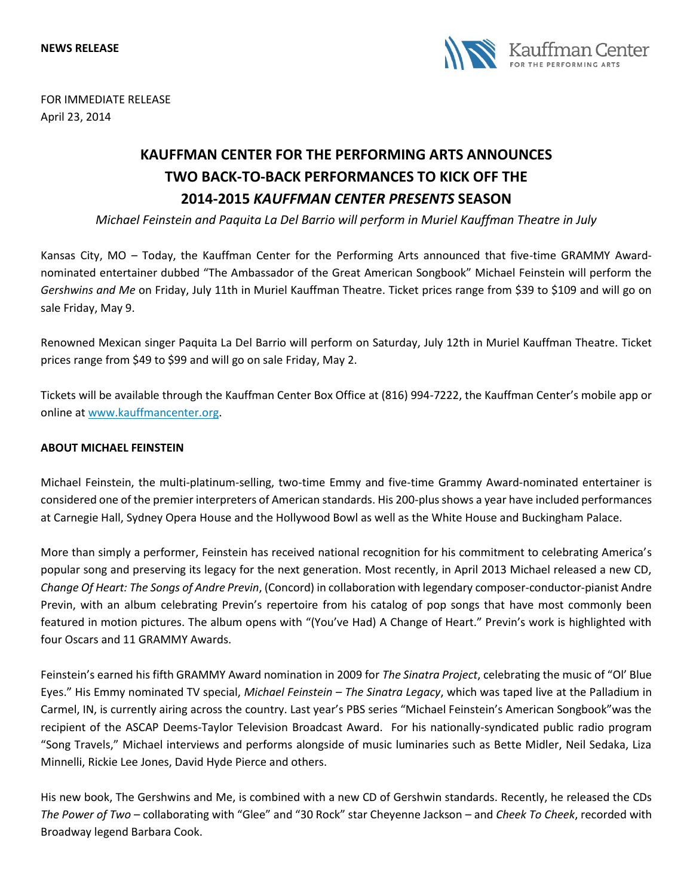

FOR IMMEDIATE RELEASE April 23, 2014

## **KAUFFMAN CENTER FOR THE PERFORMING ARTS ANNOUNCES TWO BACK-TO-BACK PERFORMANCES TO KICK OFF THE 2014-2015** *KAUFFMAN CENTER PRESENTS* **SEASON**

*Michael Feinstein and Paquita La Del Barrio will perform in Muriel Kauffman Theatre in July*

Kansas City, MO – Today, the Kauffman Center for the Performing Arts announced that five-time GRAMMY Awardnominated entertainer dubbed "The Ambassador of the Great American Songbook" Michael Feinstein will perform the *Gershwins and Me* on Friday, July 11th in Muriel Kauffman Theatre. Ticket prices range from \$39 to \$109 and will go on sale Friday, May 9.

Renowned Mexican singer Paquita La Del Barrio will perform on Saturday, July 12th in Muriel Kauffman Theatre. Ticket prices range from \$49 to \$99 and will go on sale Friday, May 2.

Tickets will be available through the Kauffman Center Box Office at (816) 994-7222, the Kauffman Center's mobile app or online at [www.kauffmancenter.org.](http://www.kauffmancenter.org/)

## **ABOUT MICHAEL FEINSTEIN**

Michael Feinstein, the multi-platinum-selling, two-time Emmy and five-time Grammy Award-nominated entertainer is considered one of the premier interpreters of American standards. His 200-plus shows a year have included performances at Carnegie Hall, Sydney Opera House and the Hollywood Bowl as well as the White House and Buckingham Palace.

More than simply a performer, Feinstein has received national recognition for his commitment to celebrating America's popular song and preserving its legacy for the next generation. Most recently, in April 2013 Michael released a new CD, *Change Of Heart: The Songs of Andre Previn*, (Concord) in collaboration with legendary composer-conductor-pianist Andre Previn, with an album celebrating Previn's repertoire from his catalog of pop songs that have most commonly been featured in motion pictures. The album opens with "(You've Had) A Change of Heart." Previn's work is highlighted with four Oscars and 11 GRAMMY Awards.

Feinstein's earned his fifth GRAMMY Award nomination in 2009 for *The Sinatra Project*, celebrating the music of "Ol' Blue Eyes." His Emmy nominated TV special, *Michael Feinstein – The Sinatra Legacy*, which was taped live at the Palladium in Carmel, IN, is currently airing across the country. Last year's PBS series "Michael Feinstein's American Songbook"was the recipient of the ASCAP Deems-Taylor Television Broadcast Award. For his nationally-syndicated public radio program "Song Travels," Michael interviews and performs alongside of music luminaries such as Bette Midler, Neil Sedaka, Liza Minnelli, Rickie Lee Jones, David Hyde Pierce and others.

His new book, The Gershwins and Me, is combined with a new CD of Gershwin standards. Recently, he released the CDs *The Power of Two* – collaborating with "Glee" and "30 Rock" star Cheyenne Jackson – and *Cheek To Cheek*, recorded with Broadway legend Barbara Cook.